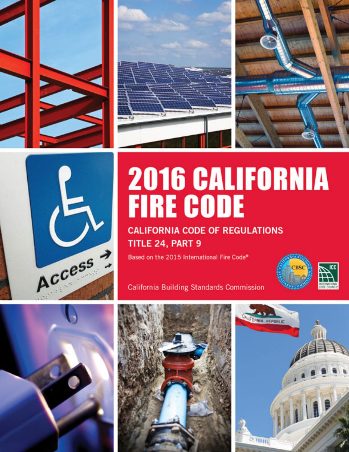







## **2016 CALIFORNIA FIRE CODE**

**CALIFORNIA CODE OF REGULATIONS** TITLE 24, PART 9

Based on the 2015 International Fire Code®



**California Building Standards Commission** 





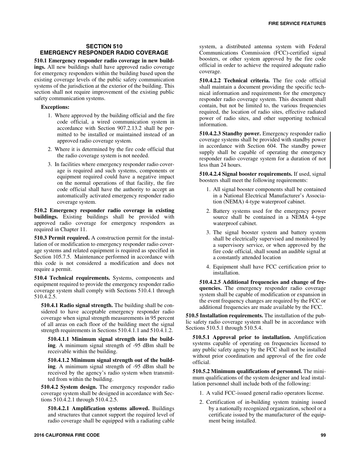## **SECTION 510 EMERGENCY RESPONDER RADIO COVERAGE**

**510.1 Emergency responder radio coverage in new buildings.** All new buildings shall have approved radio coverage for emergency responders within the building based upon the existing coverage levels of the public safety communication systems of the jurisdiction at the exterior of the building. This section shall not require improvement of the existing public safety communication systems.

## **Exceptions:**

- 1. Where approved by the building official and the fire code official, a wired communication system in accordance with Section 907.2.13.2 shall be permitted to be installed or maintained instead of an approved radio coverage system.
- 2. Where it is determined by the fire code official that the radio coverage system is not needed.
- 3. In facilities where emergency responder radio coverage is required and such systems, components or equipment required could have a negative impact on the normal operations of that facility, the fire code official shall have the authority to accept an automatically activated emergency responder radio coverage system.

**510.2 Emergency responder radio coverage in existing buildings.** Existing buildings shall be provided with approved radio coverage for emergency responders as required in Chapter 11.

**510.3 Permit required.** A construction permit for the installation of or modification to emergency responder radio coverage systems and related equipment is required as specified in Section 105.7.5. Maintenance performed in accordance with this code is not considered a modification and does not require a permit.

**510.4 Technical requirements.** Systems, components and equipment required to provide the emergency responder radio coverage system shall comply with Sections 510.4.1 through 510.4.2.5.

**510.4.1 Radio signal strength.** The building shall be considered to have acceptable emergency responder radio coverage when signal strength measurements in 95 percent of all areas on each floor of the building meet the signal strength requirements in Sections 510.4.1.1 and 510.4.1.2.

**510.4.1.1 Minimum signal strength into the building**. A minimum signal strength of -95 dBm shall be receivable within the building.

**510.4.1.2 Minimum signal strength out of the building**. A minimum signal strength of -95 dBm shall be received by the agency's radio system when transmitted from within the building.

**510.4.2 System design.** The emergency responder radio coverage system shall be designed in accordance with Sections 510.4.2.1 through 510.4.2.5.

**510.4.2.1 Amplification systems allowed.** Buildings and structures that cannot support the required level of radio coverage shall be equipped with a radiating cable

system, a distributed antenna system with Federal Communications Commission (FCC)-certified signal boosters, or other system approved by the fire code official in order to achieve the required adequate radio coverage.

**510.4.2.2 Technical criteria.** The fire code official shall maintain a document providing the specific technical information and requirements for the emergency responder radio coverage system. This document shall contain, but not be limited to, the various frequencies required, the location of radio sites, effective radiated power of radio sites, and other supporting technical information.

**510.4.2.3 Standby power.** Emergency responder radio coverage systems shall be provided with standby power in accordance with Section 604. The standby power supply shall be capable of operating the emergency responder radio coverage system for a duration of not less than 24 hours.

**510.4.2.4 Signal booster requirements.** If used, signal boosters shall meet the following requirements:

- 1. All signal booster components shall be contained in a National Electrical Manufacturer's Association (NEMA) 4-type waterproof cabinet.
- 2. Battery systems used for the emergency power source shall be contained in a NEMA 4-type waterproof cabinet.
- 3. The signal booster system and battery system shall be electrically supervised and monitored by a supervisory service, or when approved by the fire code official, shall sound an audible signal at a constantly attended location
- 4. Equipment shall have FCC certification prior to installation.

**510.4.2.5 Additional frequencies and change of frequencies.** The emergency responder radio coverage system shall be capable of modification or expansion in the event frequency changes are required by the FCC or additional frequencies are made available by the FCC.

**510.5 Installation requirements.** The installation of the public safety radio coverage system shall be in accordance with Sections 510.5.1 through 510.5.4.

**510.5.1 Approval prior to installation.** Amplification systems capable of operating on frequencies licensed to any public safety agency by the FCC shall not be installed without prior coordination and approval of the fire code official.

**510.5.2 Minimum qualifications of personnel.** The minimum qualifications of the system designer and lead installation personnel shall include both of the following:

- 1. A valid FCC-issued general radio operators license.
- 2. Certification of in-building system training issued by a nationally recognized organization, school or a certificate issued by the manufacturer of the equipment being installed.